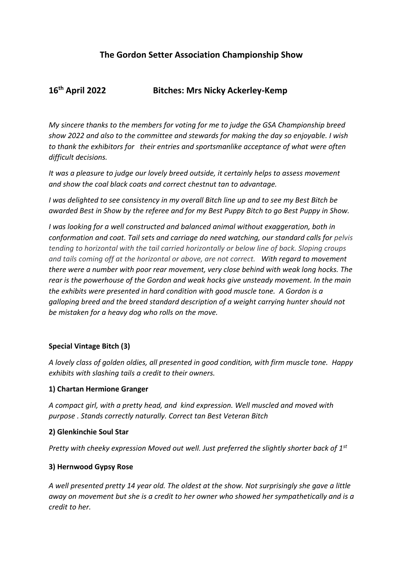# **The Gordon Setter Association Championship Show**

# **16th April 2022 Bitches: Mrs Nicky Ackerley-Kemp**

*My sincere thanks to the members for voting for me to judge the GSA Championship breed show 2022 and also to the committee and stewards for making the day so enjoyable. I wish to thank the exhibitors for their entries and sportsmanlike acceptance of what were often difficult decisions.* 

*It was a pleasure to judge our lovely breed outside, it certainly helps to assess movement and show the coal black coats and correct chestnut tan to advantage.* 

*I was delighted to see consistency in my overall Bitch line up and to see my Best Bitch be awarded Best in Show by the referee and for my Best Puppy Bitch to go Best Puppy in Show.*

*I was looking for a well constructed and balanced animal without exaggeration, both in conformation and coat. Tail sets and carriage do need watching, our standard calls for pelvis tending to horizontal with the tail carried horizontally or below line of back. Sloping croups and tails coming off at the horizontal or above, are not correct. With regard to movement there were a number with poor rear movement, very close behind with weak long hocks. The rear is the powerhouse of the Gordon and weak hocks give unsteady movement. In the main the exhibits were presented in hard condition with good muscle tone. A Gordon is a galloping breed and the breed standard description of a weight carrying hunter should not be mistaken for a heavy dog who rolls on the move.*

### **Special Vintage Bitch (3)**

*A lovely class of golden oldies, all presented in good condition, with firm muscle tone. Happy exhibits with slashing tails a credit to their owners.*

### **1) Chartan Hermione Granger**

*A compact girl, with a pretty head, and kind expression. Well muscled and moved with purpose . Stands correctly naturally. Correct tan Best Veteran Bitch* 

#### **2) Glenkinchie Soul Star**

*Pretty with cheeky expression Moved out well. Just preferred the slightly shorter back of 1st*

### **3) Hernwood Gypsy Rose**

*A well presented pretty 14 year old. The oldest at the show. Not surprisingly she gave a little away on movement but she is a credit to her owner who showed her sympathetically and is a credit to her.*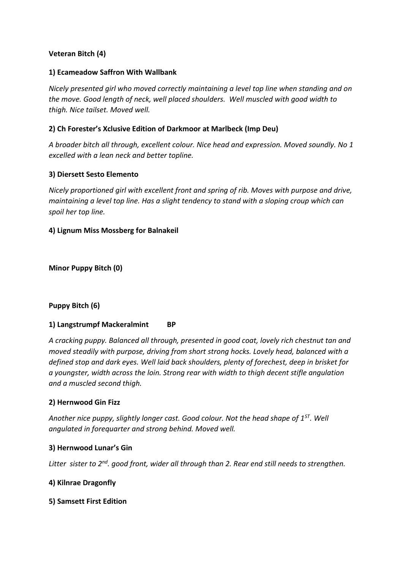## **Veteran Bitch (4)**

### **1) Ecameadow Saffron With Wallbank**

*Nicely presented girl who moved correctly maintaining a level top line when standing and on the move. Good length of neck, well placed shoulders. Well muscled with good width to thigh. Nice tailset. Moved well.*

### **2) Ch Forester's Xclusive Edition of Darkmoor at Marlbeck (Imp Deu)**

*A broader bitch all through, excellent colour. Nice head and expression. Moved soundly. No 1 excelled with a lean neck and better topline.* 

#### **3) Diersett Sesto Elemento**

*Nicely proportioned girl with excellent front and spring of rib. Moves with purpose and drive, maintaining a level top line. Has a slight tendency to stand with a sloping croup which can spoil her top line.*

#### **4) Lignum Miss Mossberg for Balnakeil**

**Minor Puppy Bitch (0)**

### **Puppy Bitch (6)**

### **1) Langstrumpf Mackeralmint BP**

*A cracking puppy. Balanced all through, presented in good coat, lovely rich chestnut tan and moved steadily with purpose, driving from short strong hocks. Lovely head, balanced with a defined stop and dark eyes. Well laid back shoulders, plenty of forechest, deep in brisket for a youngster, width across the loin. Strong rear with width to thigh decent stifle angulation and a muscled second thigh.*

#### **2) Hernwood Gin Fizz**

*Another nice puppy, slightly longer cast. Good colour. Not the head shape of 1ST. Well angulated in forequarter and strong behind. Moved well.* 

#### **3) Hernwood Lunar's Gin**

*Litter sister to 2nd. good front, wider all through than 2. Rear end still needs to strengthen.* 

#### **4) Kilnrae Dragonfly**

#### **5) Samsett First Edition**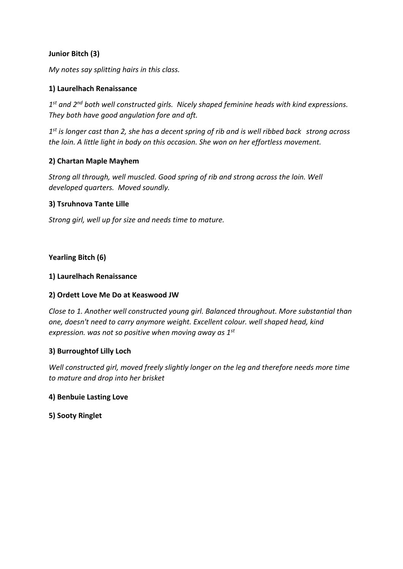### **Junior Bitch (3)**

*My notes say splitting hairs in this class.*

### **1) Laurelhach Renaissance**

*1 st and 2nd both well constructed girls. Nicely shaped feminine heads with kind expressions. They both have good angulation fore and aft.* 

*1 st is longer cast than 2, she has a decent spring of rib and is well ribbed back strong across the loin. A little light in body on this occasion. She won on her effortless movement.* 

### **2) Chartan Maple Mayhem**

*Strong all through, well muscled. Good spring of rib and strong across the loin. Well developed quarters. Moved soundly.* 

#### **3) Tsruhnova Tante Lille**

*Strong girl, well up for size and needs time to mature.* 

#### **Yearling Bitch (6)**

#### **1) Laurelhach Renaissance**

### **2) Ordett Love Me Do at Keaswood JW**

*Close to 1. Another well constructed young girl. Balanced throughout. More substantial than one, doesn't need to carry anymore weight. Excellent colour. well shaped head, kind expression. was not so positive when moving away as 1st*

#### **3) Burroughtof Lilly Loch**

*Well constructed girl, moved freely slightly longer on the leg and therefore needs more time to mature and drop into her brisket* 

#### **4) Benbuie Lasting Love**

#### **5) Sooty Ringlet**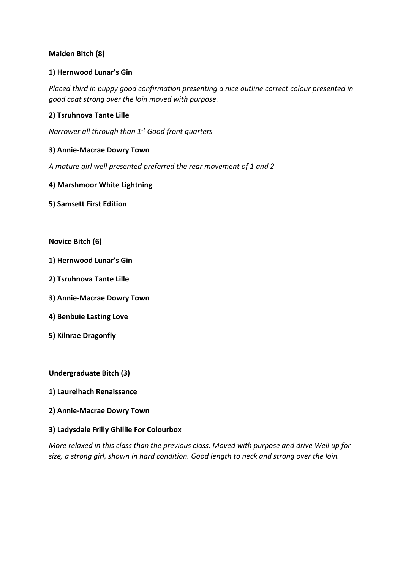## **Maiden Bitch (8)**

### **1) Hernwood Lunar's Gin**

*Placed third in puppy good confirmation presenting a nice outline correct colour presented in good coat strong over the loin moved with purpose.*

### **2) Tsruhnova Tante Lille**

*Narrower all through than 1st Good front quarters*

#### **3) Annie-Macrae Dowry Town**

*A mature girl well presented preferred the rear movement of 1 and 2*

**4) Marshmoor White Lightning**

**5) Samsett First Edition**

**Novice Bitch (6)**

- **1) Hernwood Lunar's Gin**
- **2) Tsruhnova Tante Lille**
- **3) Annie-Macrae Dowry Town**
- **4) Benbuie Lasting Love**
- **5) Kilnrae Dragonfly**

**Undergraduate Bitch (3)**

- **1) Laurelhach Renaissance**
- **2) Annie-Macrae Dowry Town**

#### **3) Ladysdale Frilly Ghillie For Colourbox**

*More relaxed in this class than the previous class. Moved with purpose and drive Well up for size, a strong girl, shown in hard condition. Good length to neck and strong over the loin.*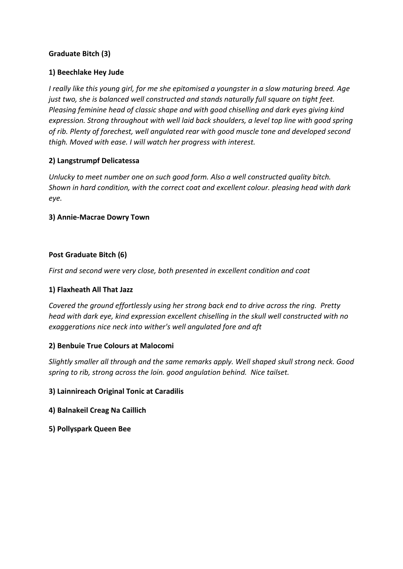## **Graduate Bitch (3)**

### **1) Beechlake Hey Jude**

*I really like this young girl, for me she epitomised a youngster in a slow maturing breed. Age just two, she is balanced well constructed and stands naturally full square on tight feet. Pleasing feminine head of classic shape and with good chiselling and dark eyes giving kind expression. Strong throughout with well laid back shoulders, a level top line with good spring of rib. Plenty of forechest, well angulated rear with good muscle tone and developed second thigh. Moved with ease. I will watch her progress with interest.* 

### **2) Langstrumpf Delicatessa**

*Unlucky to meet number one on such good form. Also a well constructed quality bitch. Shown in hard condition, with the correct coat and excellent colour. pleasing head with dark eye.*

### **3) Annie-Macrae Dowry Town**

#### **Post Graduate Bitch (6)**

*First and second were very close, both presented in excellent condition and coat*

### **1) Flaxheath All That Jazz**

*Covered the ground effortlessly using her strong back end to drive across the ring. Pretty head with dark eye, kind expression excellent chiselling in the skull well constructed with no exaggerations nice neck into wither's well angulated fore and aft*

### **2) Benbuie True Colours at Malocomi**

*Slightly smaller all through and the same remarks apply. Well shaped skull strong neck. Good spring to rib, strong across the loin. good angulation behind. Nice tailset.*

#### **3) Lainnireach Original Tonic at Caradilis**

- **4) Balnakeil Creag Na Caillich**
- **5) Pollyspark Queen Bee**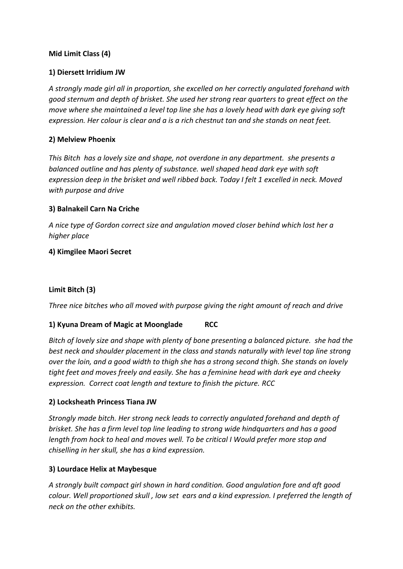### **Mid Limit Class (4)**

### **1) Diersett Irridium JW**

*A strongly made girl all in proportion, she excelled on her correctly angulated forehand with good sternum and depth of brisket. She used her strong rear quarters to great effect on the move where she maintained a level top line she has a lovely head with dark eye giving soft expression. Her colour is clear and a is a rich chestnut tan and she stands on neat feet.*

### **2) Melview Phoenix**

*This Bitch has a lovely size and shape, not overdone in any department. she presents a balanced outline and has plenty of substance. well shaped head dark eye with soft expression deep in the brisket and well ribbed back. Today I felt 1 excelled in neck. Moved with purpose and drive*

### **3) Balnakeil Carn Na Criche**

*A nice type of Gordon correct size and angulation moved closer behind which lost her a higher place* 

## **4) Kimgilee Maori Secret**

# **Limit Bitch (3)**

*Three nice bitches who all moved with purpose giving the right amount of reach and drive*

# **1) Kyuna Dream of Magic at Moonglade RCC**

*Bitch of lovely size and shape with plenty of bone presenting a balanced picture. she had the best neck and shoulder placement in the class and stands naturally with level top line strong over the loin, and a good width to thigh she has a strong second thigh. She stands on lovely tight feet and moves freely and easily. She has a feminine head with dark eye and cheeky expression. Correct coat length and texture to finish the picture. RCC*

### **2) Locksheath Princess Tiana JW**

*Strongly made bitch. Her strong neck leads to correctly angulated forehand and depth of brisket. She has a firm level top line leading to strong wide hindquarters and has a good length from hock to heal and moves well. To be critical I Would prefer more stop and chiselling in her skull, she has a kind expression.*

### **3) Lourdace Helix at Maybesque**

*A strongly built compact girl shown in hard condition. Good angulation fore and aft good colour. Well proportioned skull , low set ears and a kind expression. I preferred the length of neck on the other exhibits.*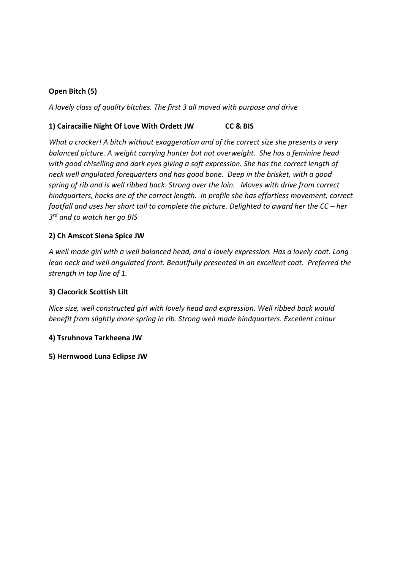# **Open Bitch (5)**

*A lovely class of quality bitches. The first 3 all moved with purpose and drive* 

### **1) Cairacailie Night Of Love With Ordett JW CC & BIS**

*What a cracker! A bitch without exaggeration and of the correct size she presents a very balanced picture. A weight carrying hunter but not overweight. She has a feminine head with good chiselling and dark eyes giving a soft expression. She has the correct length of neck well angulated forequarters and has good bone. Deep in the brisket, with a good spring of rib and is well ribbed back. Strong over the loin. Moves with drive from correct hindquarters, hocks are of the correct length. In profile she has effortless movement, correct footfall and uses her short tail to complete the picture. Delighted to award her the CC – her 3 rd and to watch her go BIS* 

### **2) Ch Amscot Siena Spice JW**

*A well made girl with a well balanced head, and a lovely expression. Has a lovely coat. Long lean neck and well angulated front. Beautifully presented in an excellent coat. Preferred the strength in top line of 1.* 

#### **3) Clacorick Scottish Lilt**

*Nice size, well constructed girl with lovely head and expression. Well ribbed back would benefit from slightly more spring in rib. Strong well made hindquarters. Excellent colour* 

#### **4) Tsruhnova Tarkheena JW**

#### **5) Hernwood Luna Eclipse JW**